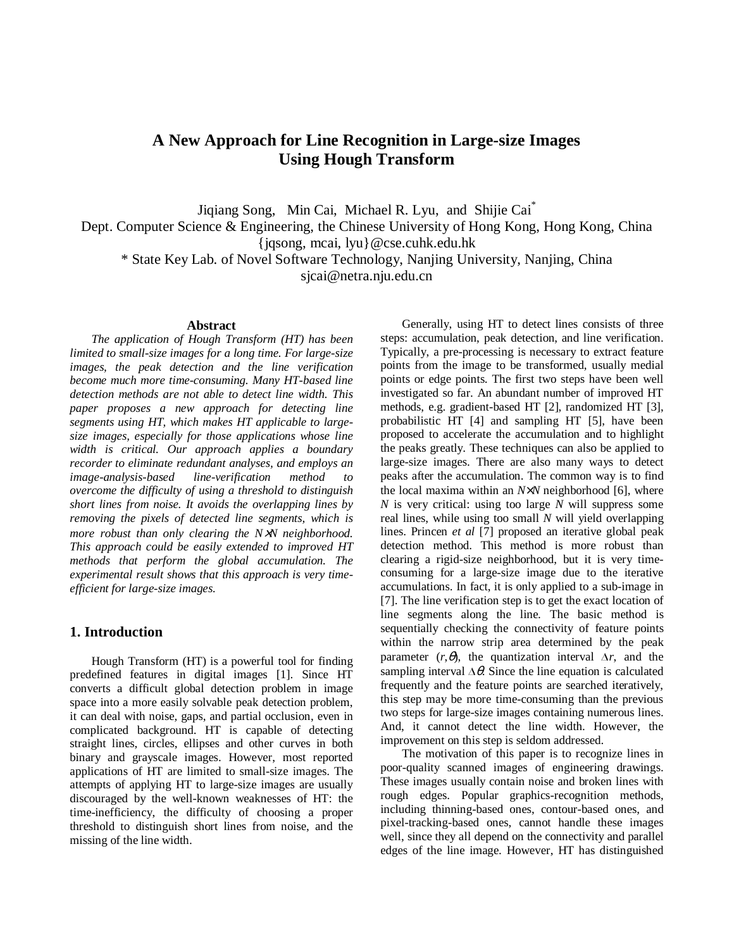# **A New Approach for Line Recognition in Large-size Images Using Hough Transform**

Jiqiang Song, Min Cai, Michael R. Lyu, and Shijie Cai\*

Dept. Computer Science & Engineering, the Chinese University of Hong Kong, Hong Kong, China {jqsong, mcai, lyu}@cse.cuhk.edu.hk

\* State Key Lab. of Novel Software Technology, Nanjing University, Nanjing, China

sjcai@netra.nju.edu.cn

#### **Abstract**

*The application of Hough Transform (HT) has been limited to small-size images for a long time. For large-size images, the peak detection and the line verification become much more time-consuming. Many HT-based line detection methods are not able to detect line width. This paper proposes a new approach for detecting line segments using HT, which makes HT applicable to largesize images, especially for those applications whose line width is critical. Our approach applies a boundary recorder to eliminate redundant analyses, and employs an image-analysis-based line-verification method to overcome the difficulty of using a threshold to distinguish short lines from noise. It avoids the overlapping lines by removing the pixels of detected line segments, which is more robust than only clearing the N*×*N neighborhood. This approach could be easily extended to improved HT methods that perform the global accumulation. The experimental result shows that this approach is very timeefficient for large-size images.*

# **1. Introduction**

Hough Transform (HT) is a powerful tool for finding predefined features in digital images [1]. Since HT converts a difficult global detection problem in image space into a more easily solvable peak detection problem, it can deal with noise, gaps, and partial occlusion, even in complicated background. HT is capable of detecting straight lines, circles, ellipses and other curves in both binary and grayscale images. However, most reported applications of HT are limited to small-size images. The attempts of applying HT to large-size images are usually discouraged by the well-known weaknesses of HT: the time-inefficiency, the difficulty of choosing a proper threshold to distinguish short lines from noise, and the missing of the line width.

Generally, using HT to detect lines consists of three steps: accumulation, peak detection, and line verification. Typically, a pre-processing is necessary to extract feature points from the image to be transformed, usually medial points or edge points. The first two steps have been well investigated so far. An abundant number of improved HT methods, e.g. gradient-based HT [2], randomized HT [3], probabilistic HT [4] and sampling HT [5], have been proposed to accelerate the accumulation and to highlight the peaks greatly. These techniques can also be applied to large-size images. There are also many ways to detect peaks after the accumulation. The common way is to find the local maxima within an *N*×*N* neighborhood [6], where *N* is very critical: using too large *N* will suppress some real lines, while using too small *N* will yield overlapping lines. Princen *et al* [7] proposed an iterative global peak detection method. This method is more robust than clearing a rigid-size neighborhood, but it is very timeconsuming for a large-size image due to the iterative accumulations. In fact, it is only applied to a sub-image in [7]. The line verification step is to get the exact location of line segments along the line. The basic method is sequentially checking the connectivity of feature points within the narrow strip area determined by the peak parameter  $(r, \theta)$ , the quantization interval  $\Delta r$ , and the sampling interval  $\Delta \theta$ . Since the line equation is calculated frequently and the feature points are searched iteratively, this step may be more time-consuming than the previous two steps for large-size images containing numerous lines. And, it cannot detect the line width. However, the improvement on this step is seldom addressed.

The motivation of this paper is to recognize lines in poor-quality scanned images of engineering drawings. These images usually contain noise and broken lines with rough edges. Popular graphics-recognition methods, including thinning-based ones, contour-based ones, and pixel-tracking-based ones, cannot handle these images well, since they all depend on the connectivity and parallel edges of the line image. However, HT has distinguished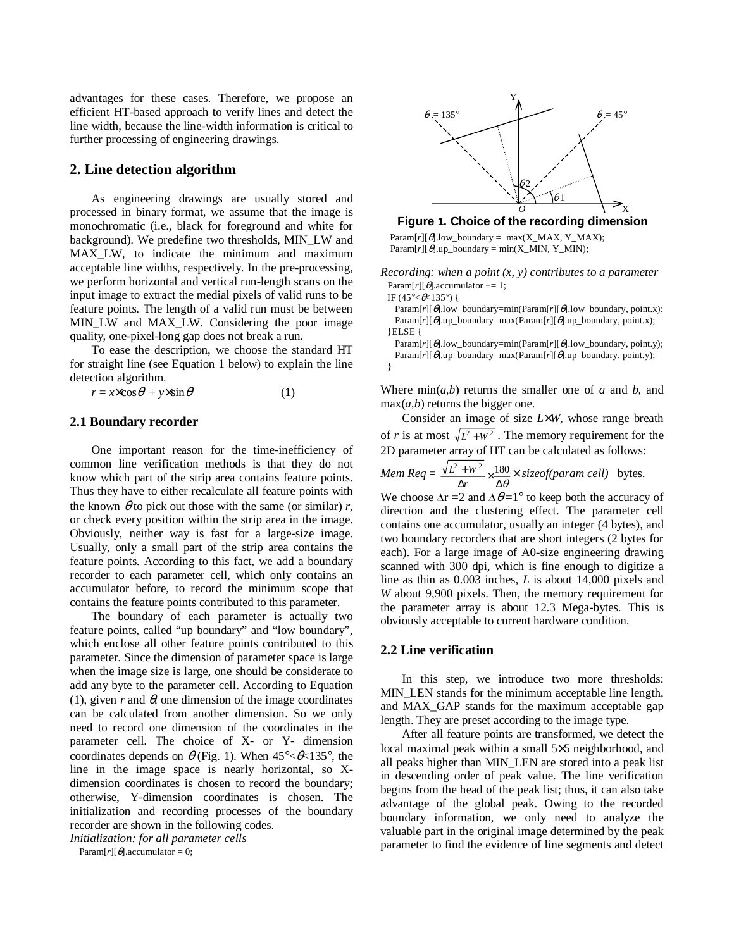advantages for these cases. Therefore, we propose an efficient HT-based approach to verify lines and detect the line width, because the line-width information is critical to further processing of engineering drawings.

### **2. Line detection algorithm**

As engineering drawings are usually stored and processed in binary format, we assume that the image is monochromatic (i.e., black for foreground and white for background). We predefine two thresholds, MIN\_LW and MAX LW, to indicate the minimum and maximum acceptable line widths, respectively. In the pre-processing, we perform horizontal and vertical run-length scans on the input image to extract the medial pixels of valid runs to be feature points. The length of a valid run must be between MIN\_LW and MAX\_LW. Considering the poor image quality, one-pixel-long gap does not break a run.

To ease the description, we choose the standard HT for straight line (see Equation 1 below) to explain the line detection algorithm.

 $r = x \times \cos \theta + y \times \sin \theta$  (1)

# **2.1 Boundary recorder**

One important reason for the time-inefficiency of common line verification methods is that they do not know which part of the strip area contains feature points. Thus they have to either recalculate all feature points with the known  $\theta$  to pick out those with the same (or similar)  $r$ , or check every position within the strip area in the image. Obviously, neither way is fast for a large-size image. Usually, only a small part of the strip area contains the feature points. According to this fact, we add a boundary recorder to each parameter cell, which only contains an accumulator before, to record the minimum scope that contains the feature points contributed to this parameter.

The boundary of each parameter is actually two feature points, called "up boundary" and "low boundary", which enclose all other feature points contributed to this parameter. Since the dimension of parameter space is large when the image size is large, one should be considerate to add any byte to the parameter cell. According to Equation (1), given  $r$  and  $\theta$ , one dimension of the image coordinates can be calculated from another dimension. So we only need to record one dimension of the coordinates in the parameter cell. The choice of X- or Y- dimension coordinates depends on  $\theta$  (Fig. 1). When  $45^{\circ} < \theta < 135^{\circ}$ , the line in the image space is nearly horizontal, so Xdimension coordinates is chosen to record the boundary; otherwise, Y-dimension coordinates is chosen. The initialization and recording processes of the boundary recorder are shown in the following codes.

*Initialization: for all parameter cells*

Param[ $r$ ][ $\theta$ ].accumulator = 0;



#### **Figure 1. Choice of the recording dimension**

 $Param[r][\theta].low\_boundary = max(X\_MAX, Y\_MAX);$  $Param[r][\theta].up\_boundary = min(X_MIN, Y_MIN);$ 

*Recording: when a point (x, y) contributes to a parameter* Param[ $r$ ][ $\theta$ ].accumulator += 1;

IF (45 $\degree$ < $\angle$  (45 $\degree$ ) {

}

Param[*r*][θ].low\_boundary=min(Param[*r*][θ].low\_boundary, point.x); Param[*r*][θ].up\_boundary=max(Param[*r*][θ].up\_boundary, point.x); }ELSE {

Param[*r*][θ].low\_boundary=min(Param[*r*][θ].low\_boundary, point.y); Param[*r*][θ].up\_boundary=max(Param[*r*][θ].up\_boundary, point.y);

Where  $\min(a, b)$  returns the smaller one of *a* and *b*, and  $max(a,b)$  returns the bigger one.

Consider an image of size *L*×*W*, whose range breath of *r* is at most  $\sqrt{L^2 + W^2}$ . The memory requirement for the 2D parameter array of HT can be calculated as follows:

*Mem* 
$$
Req = \frac{\sqrt{L^2 + W^2}}{\Delta r} \times \frac{180}{\Delta \theta} \times \text{sizeof}(param cell)
$$
 bytes.

We choose  $\Delta r = 2$  and  $\Delta \theta = 1^\circ$  to keep both the accuracy of direction and the clustering effect. The parameter cell contains one accumulator, usually an integer (4 bytes), and two boundary recorders that are short integers (2 bytes for each). For a large image of A0-size engineering drawing scanned with 300 dpi, which is fine enough to digitize a line as thin as 0.003 inches, *L* is about 14,000 pixels and *W* about 9,900 pixels. Then, the memory requirement for the parameter array is about 12.3 Mega-bytes. This is obviously acceptable to current hardware condition.

# **2.2 Line verification**

In this step, we introduce two more thresholds: MIN LEN stands for the minimum acceptable line length, and MAX\_GAP stands for the maximum acceptable gap length. They are preset according to the image type.

After all feature points are transformed, we detect the local maximal peak within a small 5×5 neighborhood, and all peaks higher than MIN\_LEN are stored into a peak list in descending order of peak value. The line verification begins from the head of the peak list; thus, it can also take advantage of the global peak. Owing to the recorded boundary information, we only need to analyze the valuable part in the original image determined by the peak parameter to find the evidence of line segments and detect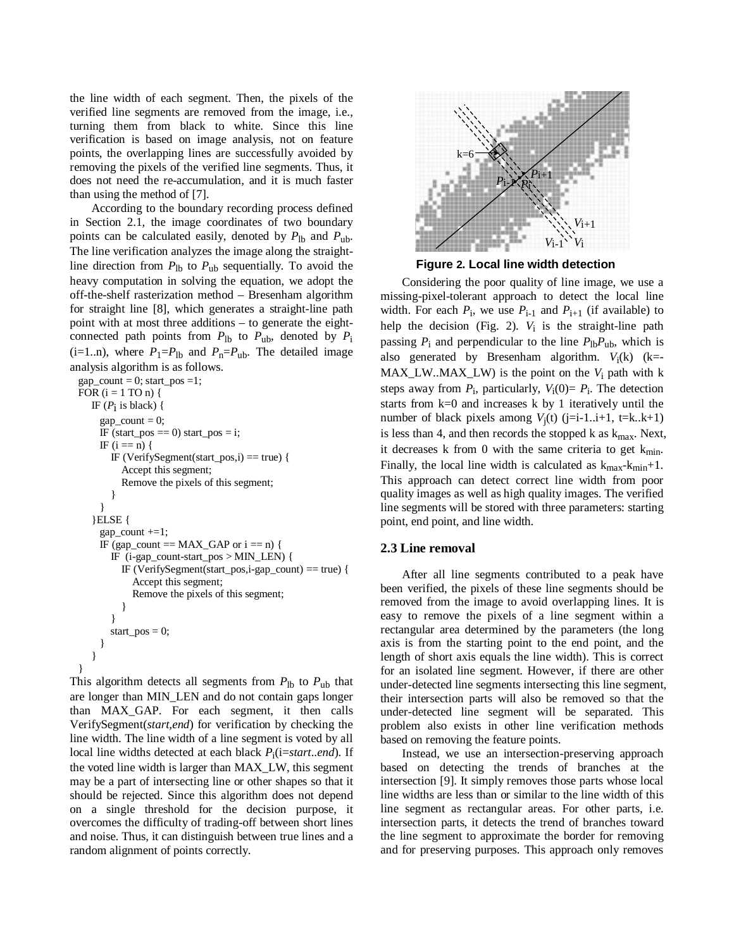the line width of each segment. Then, the pixels of the verified line segments are removed from the image, i.e., turning them from black to white. Since this line verification is based on image analysis, not on feature points, the overlapping lines are successfully avoided by removing the pixels of the verified line segments. Thus, it does not need the re-accumulation, and it is much faster than using the method of [7].

According to the boundary recording process defined in Section 2.1, the image coordinates of two boundary points can be calculated easily, denoted by  $P_{\text{lb}}$  and  $P_{\text{ub}}$ . The line verification analyzes the image along the straightline direction from  $P_{\text{lb}}$  to  $P_{\text{ub}}$  sequentially. To avoid the heavy computation in solving the equation, we adopt the off-the-shelf rasterization method – Bresenham algorithm for straight line [8], which generates a straight-line path point with at most three additions – to generate the eightconnected path points from  $P_{\text{lb}}$  to  $P_{\text{ub}}$ , denoted by  $P_{\text{i}}$ (i=1..n), where  $P_1 = P_{1b}$  and  $P_n = P_{1b}$ . The detailed image analysis algorithm is as follows.

```
gap_count = 0; start_pos =1;
FOR (i = 1 TO n) {
  IF (P_i is black) {
    gap_{count} = 0;
    IF (start_pos == 0) start_pos = i;
    IF (i == n) {
       IF (VerifySegment(start_pos,i) == true) {
         Accept this segment;
         Remove the pixels of this segment;
       }
    }
   }ELSE {
    gap_count +=1;
    IF (gap_count = MAX_GAP or i = n) {
       IF (i-gap_count-start_pos > MIN_LEN) {
         IF (VerifySegment(start_pos,i-gap_count) == true) {
            Accept this segment;
            Remove the pixels of this segment;
         }
       }
       start_pos = 0;
    }
   }
}
```
This algorithm detects all segments from  $P_{\text{lb}}$  to  $P_{\text{ub}}$  that are longer than MIN\_LEN and do not contain gaps longer than MAX\_GAP. For each segment, it then calls VerifySegment(*start,end*) for verification by checking the line width. The line width of a line segment is voted by all local line widths detected at each black *P*i(i=*start*..*end*). If the voted line width is larger than MAX\_LW, this segment may be a part of intersecting line or other shapes so that it should be rejected. Since this algorithm does not depend on a single threshold for the decision purpose, it overcomes the difficulty of trading-off between short lines and noise. Thus, it can distinguish between true lines and a random alignment of points correctly.



**Figure 2. Local line width detection**

Considering the poor quality of line image, we use a missing-pixel-tolerant approach to detect the local line width. For each  $P_i$ , we use  $P_{i-1}$  and  $P_{i+1}$  (if available) to help the decision (Fig. 2).  $V_i$  is the straight-line path passing  $P_i$  and perpendicular to the line  $P_{\text{lb}}P_{\text{ub}}$ , which is also generated by Bresenham algorithm.  $V_i(k)$  (k=- $MAX_LW.MAX_LW$  is the point on the  $V_i$  path with k steps away from  $P_i$ , particularly,  $V_i(0) = P_i$ . The detection starts from k=0 and increases k by 1 iteratively until the number of black pixels among  $V_i(t)$  (j=i-1..i+1, t=k..k+1) is less than 4, and then records the stopped k as  $k_{max}$ . Next, it decreases k from 0 with the same criteria to get  $k_{min}$ . Finally, the local line width is calculated as  $k_{max} - k_{min} + 1$ . This approach can detect correct line width from poor quality images as well as high quality images. The verified line segments will be stored with three parameters: starting point, end point, and line width.

#### **2.3 Line removal**

After all line segments contributed to a peak have been verified, the pixels of these line segments should be removed from the image to avoid overlapping lines. It is easy to remove the pixels of a line segment within a rectangular area determined by the parameters (the long axis is from the starting point to the end point, and the length of short axis equals the line width). This is correct for an isolated line segment. However, if there are other under-detected line segments intersecting this line segment, their intersection parts will also be removed so that the under-detected line segment will be separated. This problem also exists in other line verification methods based on removing the feature points.

Instead, we use an intersection-preserving approach based on detecting the trends of branches at the intersection [9]. It simply removes those parts whose local line widths are less than or similar to the line width of this line segment as rectangular areas. For other parts, i.e. intersection parts, it detects the trend of branches toward the line segment to approximate the border for removing and for preserving purposes. This approach only removes